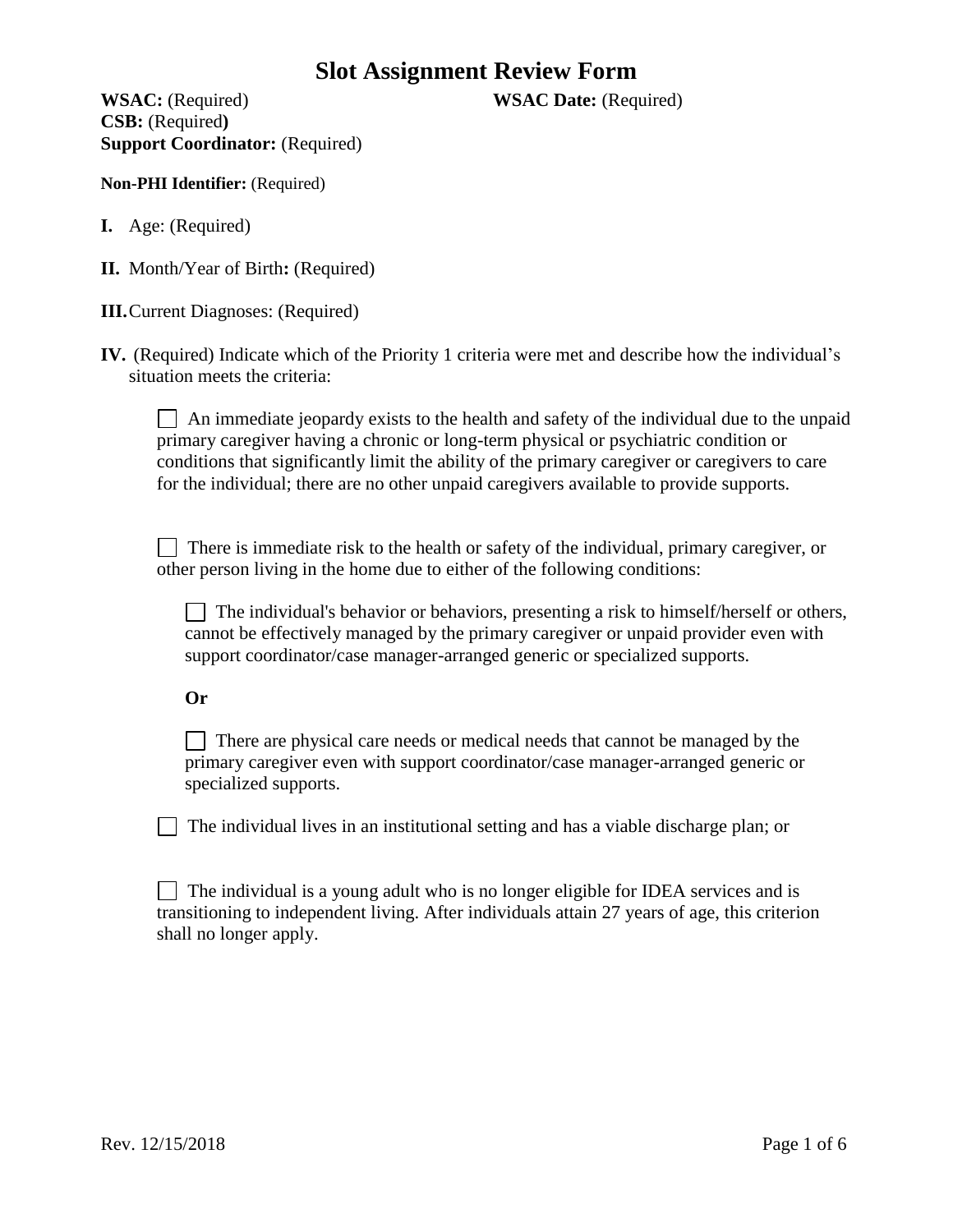**WSAC:** (Required) **WSAC Date:** (Required) **CSB:** (Required**) Support Coordinator:** (Required)

**Non-PHI Identifier:** (Required)

- **I.** Age: (Required)
- **II.** Month/Year of Birth**:** (Required)
- **III.**Current Diagnoses: (Required)
- **IV.** (Required) Indicate which of the Priority 1 criteria were met and describe how the individual's situation meets the criteria:

 $\Box$  An immediate jeopardy exists to the health and safety of the individual due to the unpaid primary caregiver having a chronic or long-term physical or psychiatric condition or conditions that significantly limit the ability of the primary caregiver or caregivers to care for the individual; there are no other unpaid caregivers available to provide supports.

There is immediate risk to the health or safety of the individual, primary caregiver, or other person living in the home due to either of the following conditions:

 $\vert$  The individual's behavior or behaviors, presenting a risk to himself/herself or others, cannot be effectively managed by the primary caregiver or unpaid provider even with support coordinator/case manager-arranged generic or specialized supports.

#### **Or**

 There are physical care needs or medical needs that cannot be managed by the primary caregiver even with support coordinator/case manager-arranged generic or specialized supports.

The individual lives in an institutional setting and has a viable discharge plan; or

 $\Box$  The individual is a young adult who is no longer eligible for IDEA services and is transitioning to independent living. After individuals attain 27 years of age, this criterion shall no longer apply.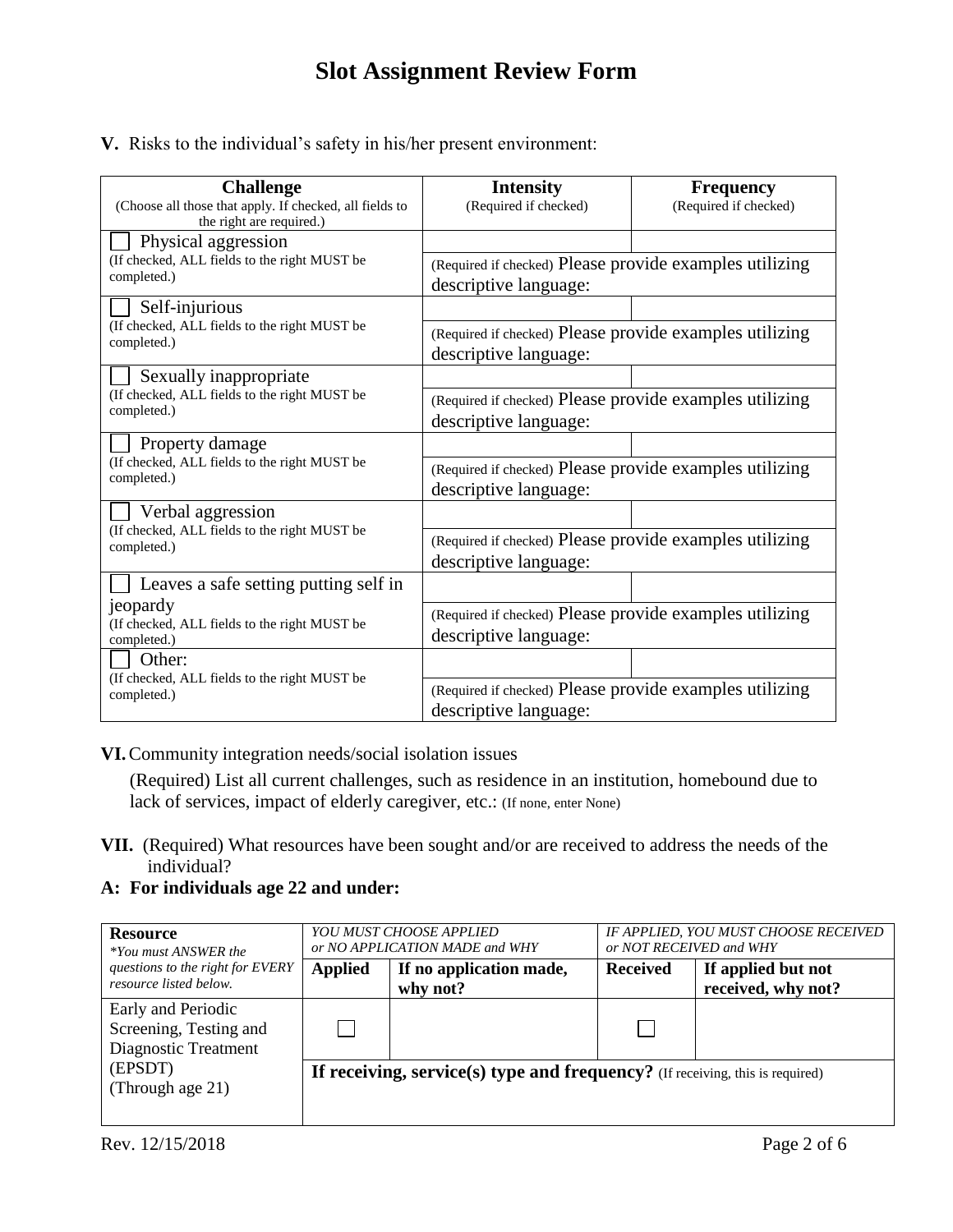**V.** Risks to the individual's safety in his/her present environment:

| <b>Challenge</b>                                                                    | <b>Intensity</b>                                                                 | <b>Frequency</b>      |  |
|-------------------------------------------------------------------------------------|----------------------------------------------------------------------------------|-----------------------|--|
| (Choose all those that apply. If checked, all fields to<br>the right are required.) | (Required if checked)                                                            | (Required if checked) |  |
| Physical aggression                                                                 |                                                                                  |                       |  |
| (If checked, ALL fields to the right MUST be<br>completed.)                         | (Required if checked) Please provide examples utilizing<br>descriptive language: |                       |  |
| Self-injurious                                                                      |                                                                                  |                       |  |
| (If checked, ALL fields to the right MUST be<br>completed.)                         | (Required if checked) Please provide examples utilizing<br>descriptive language: |                       |  |
| Sexually inappropriate                                                              |                                                                                  |                       |  |
| (If checked, ALL fields to the right MUST be<br>completed.)                         | (Required if checked) Please provide examples utilizing<br>descriptive language: |                       |  |
| Property damage                                                                     |                                                                                  |                       |  |
| (If checked, ALL fields to the right MUST be<br>completed.)                         | (Required if checked) Please provide examples utilizing<br>descriptive language: |                       |  |
| Verbal aggression                                                                   |                                                                                  |                       |  |
| (If checked, ALL fields to the right MUST be<br>completed.)                         | (Required if checked) Please provide examples utilizing<br>descriptive language: |                       |  |
| Leaves a safe setting putting self in                                               |                                                                                  |                       |  |
| jeopardy<br>(If checked, ALL fields to the right MUST be<br>completed.)             | (Required if checked) Please provide examples utilizing<br>descriptive language: |                       |  |
| Other:                                                                              |                                                                                  |                       |  |
| (If checked, ALL fields to the right MUST be<br>completed.)                         | (Required if checked) Please provide examples utilizing<br>descriptive language: |                       |  |

**VI.**Community integration needs/social isolation issues

(Required) List all current challenges, such as residence in an institution, homebound due to lack of services, impact of elderly caregiver, etc.: (If none, enter None)

- **VII.** (Required) What resources have been sought and/or are received to address the needs of the individual?
- **A: For individuals age 22 and under:**

| <b>Resource</b><br><i>*You must ANSWER the</i>                       | YOU MUST CHOOSE APPLIED<br>or NO APPLICATION MADE and WHY                     |                                     | IF APPLIED, YOU MUST CHOOSE RECEIVED<br>or NOT RECEIVED and WHY |                                          |
|----------------------------------------------------------------------|-------------------------------------------------------------------------------|-------------------------------------|-----------------------------------------------------------------|------------------------------------------|
| questions to the right for EVERY<br>resource listed below.           | <b>Applied</b>                                                                | If no application made,<br>why not? | <b>Received</b>                                                 | If applied but not<br>received, why not? |
| Early and Periodic<br>Screening, Testing and<br>Diagnostic Treatment |                                                                               |                                     |                                                                 |                                          |
| (EPSDT)<br>(Through age 21)                                          | If receiving, service(s) type and frequency? (If receiving, this is required) |                                     |                                                                 |                                          |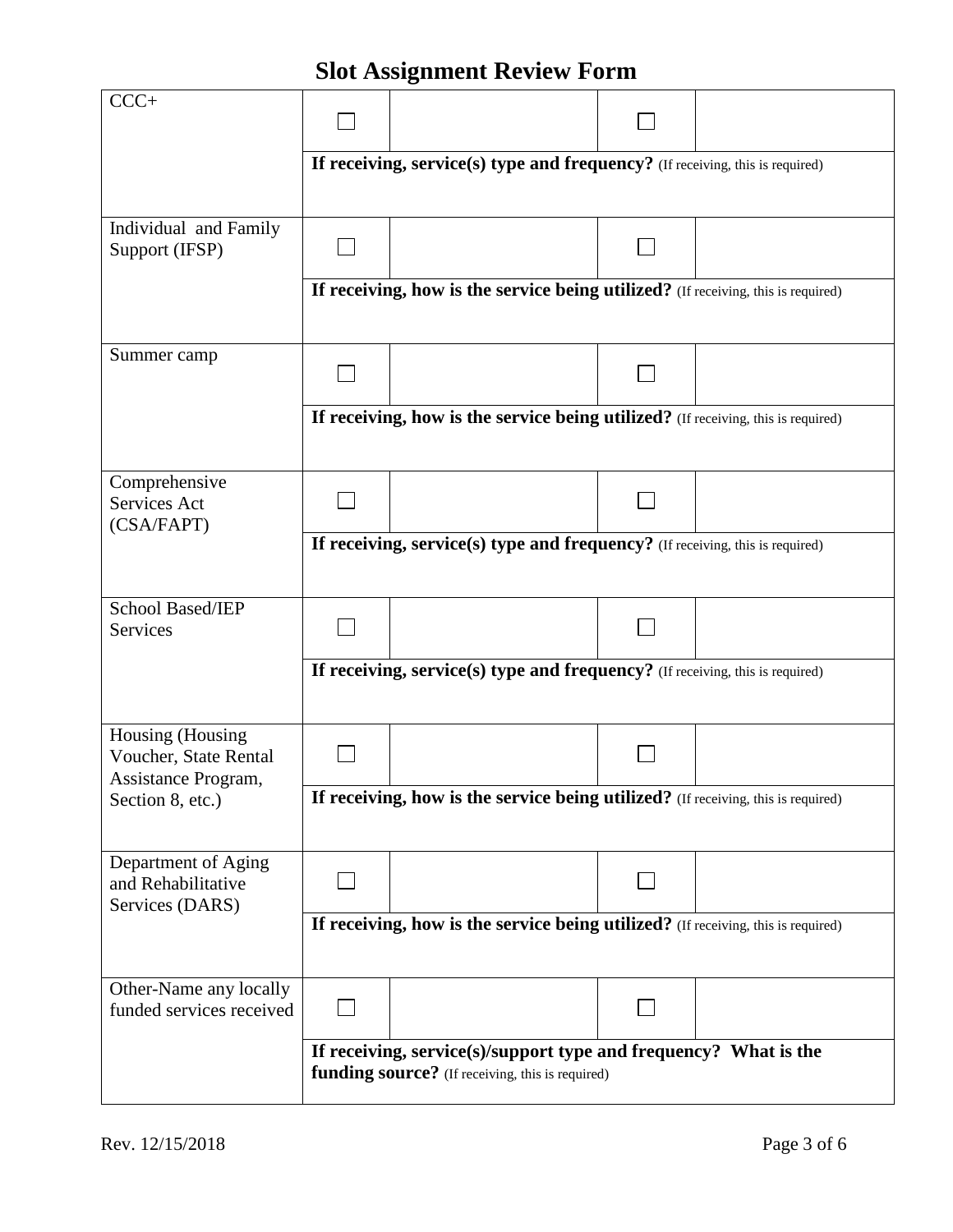|                                                                  |                                                                                                                      | o                                                                                 |  |  |  |
|------------------------------------------------------------------|----------------------------------------------------------------------------------------------------------------------|-----------------------------------------------------------------------------------|--|--|--|
| $CCC+$                                                           |                                                                                                                      |                                                                                   |  |  |  |
|                                                                  | If receiving, service(s) type and frequency? (If receiving, this is required)                                        |                                                                                   |  |  |  |
| Individual and Family<br>Support (IFSP)                          |                                                                                                                      |                                                                                   |  |  |  |
|                                                                  |                                                                                                                      | If receiving, how is the service being utilized? (If receiving, this is required) |  |  |  |
| Summer camp                                                      |                                                                                                                      |                                                                                   |  |  |  |
|                                                                  | If receiving, how is the service being utilized? (If receiving, this is required)                                    |                                                                                   |  |  |  |
| Comprehensive<br>Services Act<br>(CSA/FAPT)                      |                                                                                                                      |                                                                                   |  |  |  |
|                                                                  | If receiving, service(s) type and frequency? (If receiving, this is required)                                        |                                                                                   |  |  |  |
| School Based/IEP<br>Services                                     |                                                                                                                      |                                                                                   |  |  |  |
|                                                                  | If receiving, service(s) type and frequency? (If receiving, this is required)                                        |                                                                                   |  |  |  |
| Housing (Housing<br>Voucher, State Rental<br>Assistance Program, |                                                                                                                      |                                                                                   |  |  |  |
| Section 8, etc.)                                                 | If receiving, how is the service being utilized? (If receiving, this is required)                                    |                                                                                   |  |  |  |
| Department of Aging<br>and Rehabilitative<br>Services (DARS)     |                                                                                                                      |                                                                                   |  |  |  |
|                                                                  | If receiving, how is the service being utilized? (If receiving, this is required)                                    |                                                                                   |  |  |  |
| Other-Name any locally<br>funded services received               |                                                                                                                      |                                                                                   |  |  |  |
|                                                                  | If receiving, service(s)/support type and frequency? What is the<br>funding source? (If receiving, this is required) |                                                                                   |  |  |  |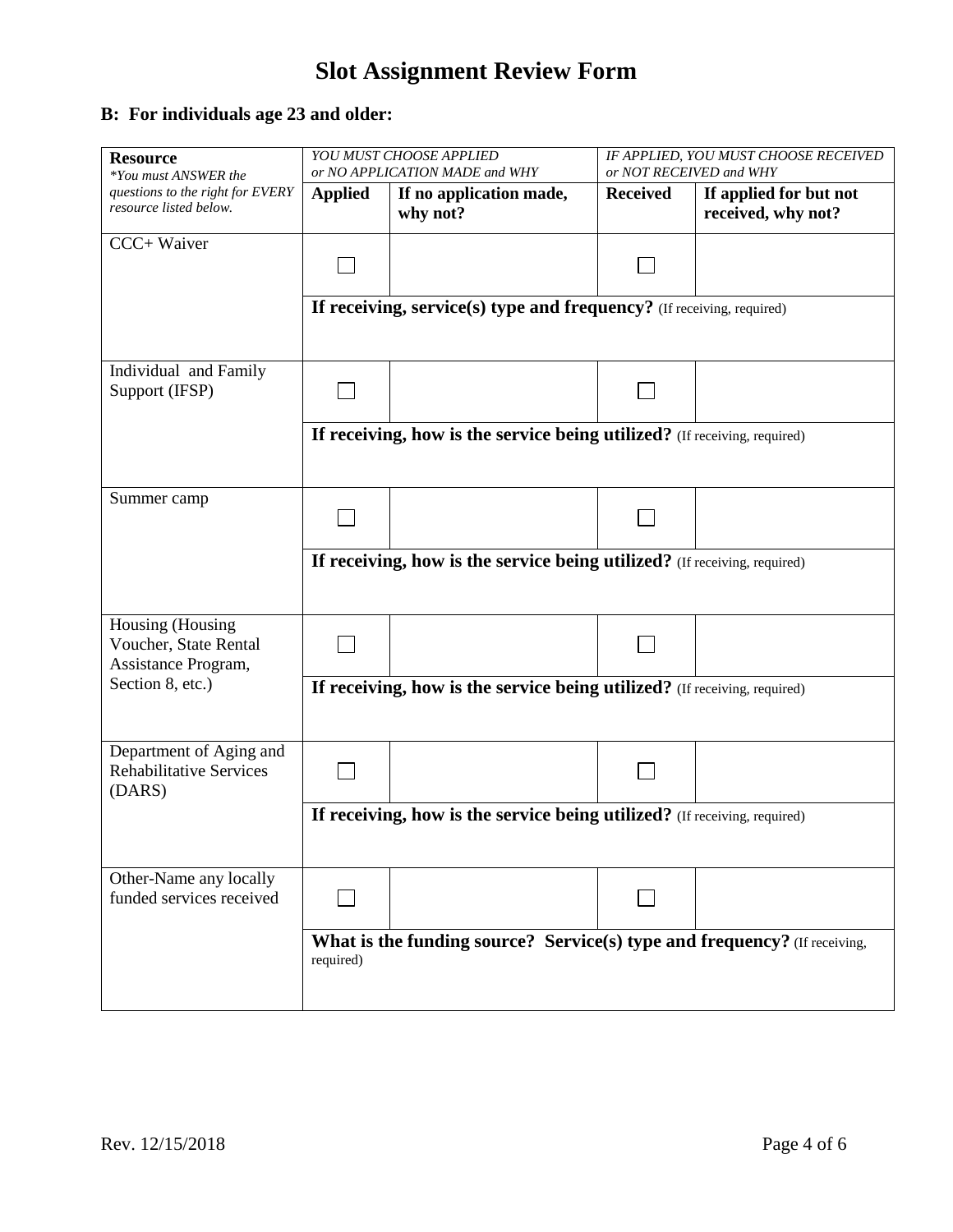#### **B: For individuals age 23 and older:**

| <b>Resource</b><br>*You must ANSWER the                                              | YOU MUST CHOOSE APPLIED<br>or NO APPLICATION MADE and WHY                              |                                                                       | IF APPLIED, YOU MUST CHOOSE RECEIVED<br>or NOT RECEIVED and WHY |                                              |
|--------------------------------------------------------------------------------------|----------------------------------------------------------------------------------------|-----------------------------------------------------------------------|-----------------------------------------------------------------|----------------------------------------------|
| questions to the right for EVERY<br>resource listed below.                           | <b>Applied</b>                                                                         | If no application made,<br>why not?                                   | <b>Received</b>                                                 | If applied for but not<br>received, why not? |
| CCC+ Waiver                                                                          |                                                                                        |                                                                       |                                                                 |                                              |
|                                                                                      |                                                                                        | If receiving, service(s) type and frequency? (If receiving, required) |                                                                 |                                              |
| Individual and Family<br>Support (IFSP)                                              |                                                                                        |                                                                       |                                                                 |                                              |
|                                                                                      | If receiving, how is the service being utilized? (If receiving, required)              |                                                                       |                                                                 |                                              |
| Summer camp                                                                          |                                                                                        |                                                                       |                                                                 |                                              |
|                                                                                      | If receiving, how is the service being utilized? (If receiving, required)              |                                                                       |                                                                 |                                              |
| Housing (Housing<br>Voucher, State Rental<br>Assistance Program,<br>Section 8, etc.) |                                                                                        |                                                                       |                                                                 |                                              |
|                                                                                      | If receiving, how is the service being utilized? (If receiving, required)              |                                                                       |                                                                 |                                              |
| Department of Aging and<br><b>Rehabilitative Services</b><br>(DARS)                  |                                                                                        |                                                                       |                                                                 |                                              |
|                                                                                      | If receiving, how is the service being utilized? (If receiving, required)              |                                                                       |                                                                 |                                              |
| Other-Name any locally<br>funded services received                                   |                                                                                        |                                                                       |                                                                 |                                              |
|                                                                                      | What is the funding source? Service(s) type and frequency? (If receiving,<br>required) |                                                                       |                                                                 |                                              |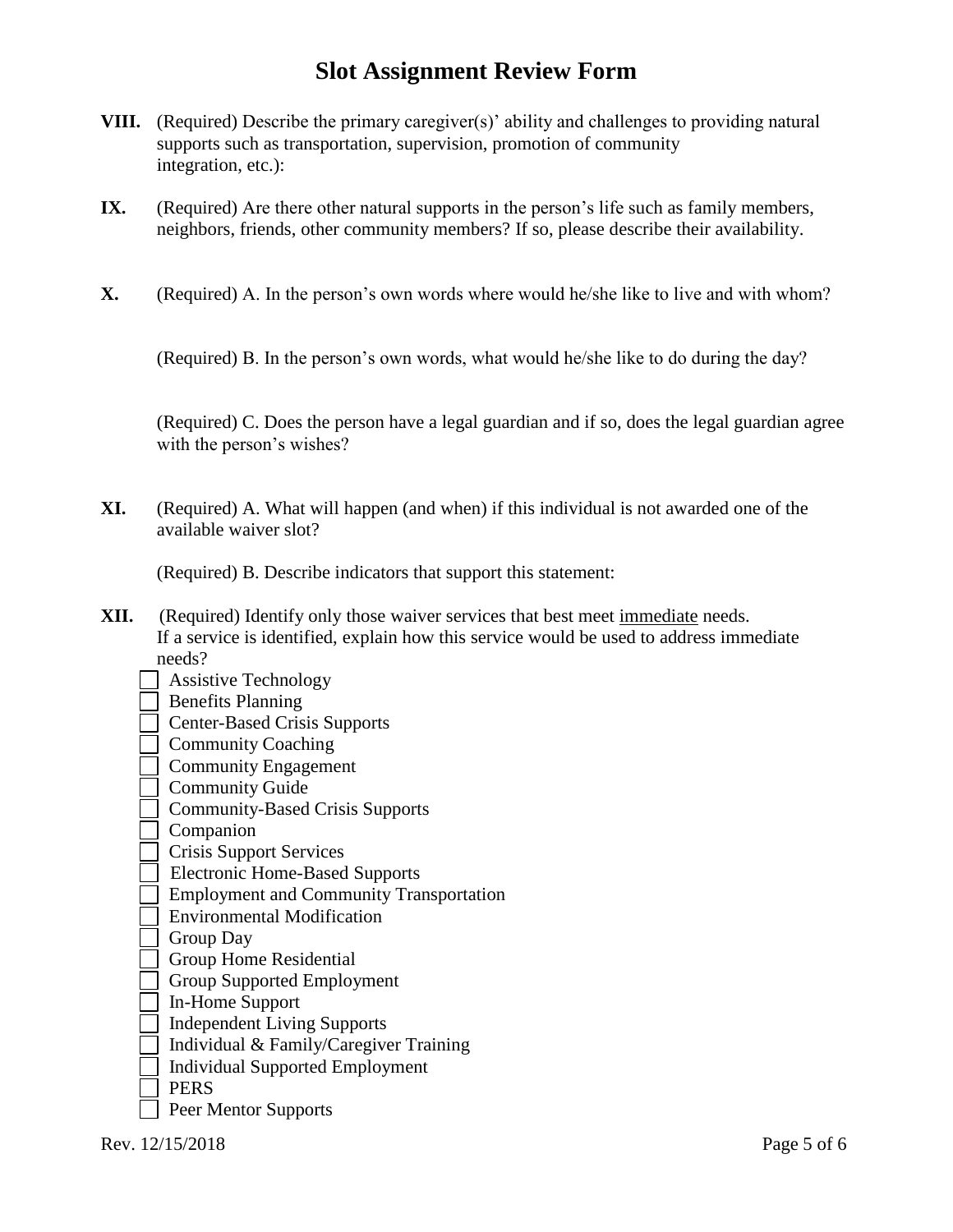- **VIII.** (Required) Describe the primary caregiver(s)' ability and challenges to providing natural supports such as transportation, supervision, promotion of community integration, etc.):
- **IX.** (Required) Are there other natural supports in the person's life such as family members, neighbors, friends, other community members? If so, please describe their availability.
- **X.** (Required) A. In the person's own words where would he/she like to live and with whom?

(Required) B. In the person's own words, what would he/she like to do during the day?

 (Required) C. Does the person have a legal guardian and if so, does the legal guardian agree with the person's wishes?

**XI.** (Required) A. What will happen (and when) if this individual is not awarded one of the available waiver slot?

(Required) B. Describe indicators that support this statement:

- **XII.** (Required) Identify only those waiver services that best meet immediate needs. If a service is identified, explain how this service would be used to address immediate needs?
	- | Assistive Technology
	- Benefits Planning
	- Center-Based Crisis Supports
	- **Community Coaching**
	- Community Engagement
	- **Community Guide**
	- Community-Based Crisis Supports
	- Companion
	- Crisis Support Services
	- Electronic Home-Based Supports
	- **Employment and Community Transportation**
	- Environmental Modification
	- **Group Day**
	- Group Home Residential
	- Group Supported Employment
	- □ In-Home Support
	- Independent Living Supports
	- Individual & Family/Caregiver Training
	- Individual Supported Employment
	- **PERS**
	- Peer Mentor Supports